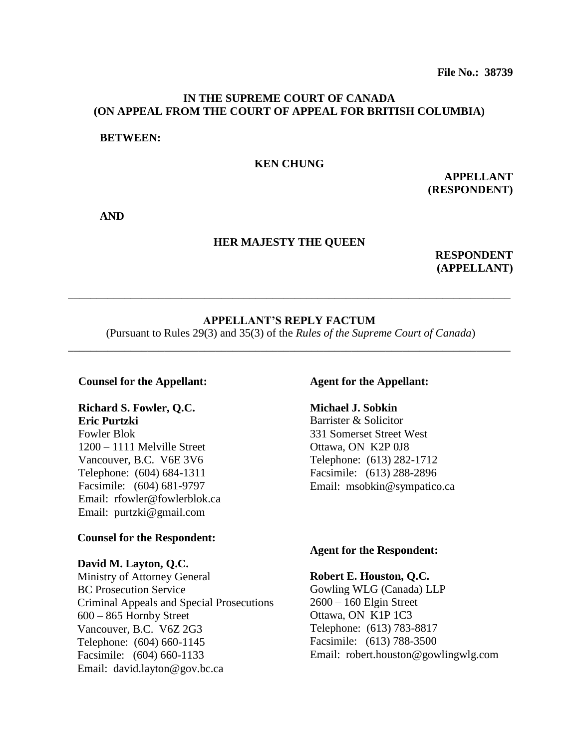# **IN THE SUPREME COURT OF CANADA (ON APPEAL FROM THE COURT OF APPEAL FOR BRITISH COLUMBIA)**

# **BETWEEN:**

# **KEN CHUNG**

**APPELLANT (RESPONDENT)**

**AND**

# **HER MAJESTY THE QUEEN**

**RESPONDENT (APPELLANT)**

# **APPELLANT'S REPLY FACTUM**

\_\_\_\_\_\_\_\_\_\_\_\_\_\_\_\_\_\_\_\_\_\_\_\_\_\_\_\_\_\_\_\_\_\_\_\_\_\_\_\_\_\_\_\_\_\_\_\_\_\_\_\_\_\_\_\_\_\_\_\_\_\_\_\_\_\_\_\_\_\_\_\_\_\_\_\_\_\_

(Pursuant to Rules 29(3) and 35(3) of the *Rules of the Supreme Court of Canada*) \_\_\_\_\_\_\_\_\_\_\_\_\_\_\_\_\_\_\_\_\_\_\_\_\_\_\_\_\_\_\_\_\_\_\_\_\_\_\_\_\_\_\_\_\_\_\_\_\_\_\_\_\_\_\_\_\_\_\_\_\_\_\_\_\_\_\_\_\_\_\_\_\_\_\_\_\_\_

### **Counsel for the Appellant:**

# **Richard S. Fowler, Q.C.**

**Eric Purtzki**

Fowler Blok 1200 – 1111 Melville Street Vancouver, B.C. V6E 3V6 Telephone: (604) 684-1311 Facsimile: (604) 681-9797 Email: rfowler@fowlerblok.ca Email: purtzki@gmail.com

# **Counsel for the Respondent:**

### **David M. Layton, Q.C.**

Ministry of Attorney General BC Prosecution Service Criminal Appeals and Special Prosecutions 600 – 865 Hornby Street Vancouver, B.C. V6Z 2G3 Telephone: (604) 660-1145 Facsimile: (604) 660-1133 Email: david.layton@gov.bc.ca

# **Agent for the Appellant:**

# **Michael J. Sobkin**

Barrister & Solicitor 331 Somerset Street West Ottawa, ON K2P 0J8 Telephone: (613) 282-1712 Facsimile: (613) 288-2896 Email: msobkin@sympatico.ca

# **Agent for the Respondent:**

# **Robert E. Houston, Q.C.**

Gowling WLG (Canada) LLP 2600 – 160 Elgin Street Ottawa, ON K1P 1C3 Telephone: (613) 783-8817 Facsimile: (613) 788-3500 Email: robert.houston@gowlingwlg.com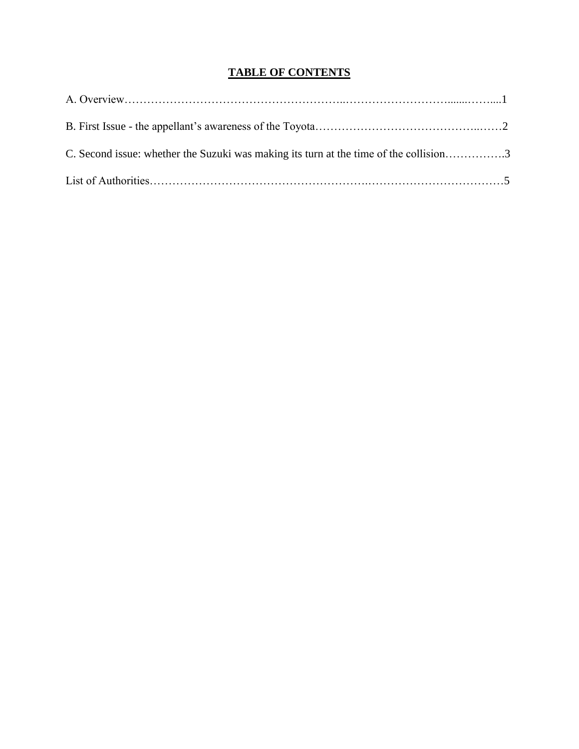# **TABLE OF CONTENTS**

| C. Second issue: whether the Suzuki was making its turn at the time of the collision3 |  |
|---------------------------------------------------------------------------------------|--|
|                                                                                       |  |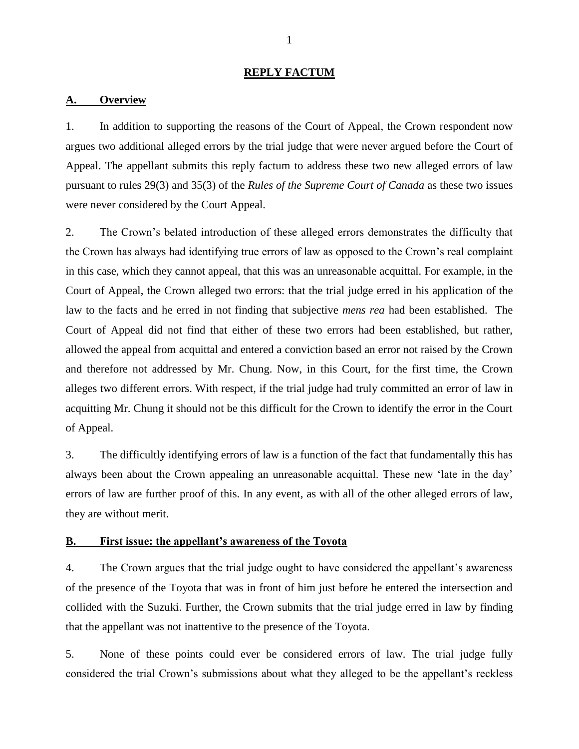## **REPLY FACTUM**

### **A. Overview**

1. In addition to supporting the reasons of the Court of Appeal, the Crown respondent now argues two additional alleged errors by the trial judge that were never argued before the Court of Appeal. The appellant submits this reply factum to address these two new alleged errors of law pursuant to rules 29(3) and 35(3) of the *Rules of the Supreme Court of Canada* as these two issues were never considered by the Court Appeal.

2. The Crown"s belated introduction of these alleged errors demonstrates the difficulty that the Crown has always had identifying true errors of law as opposed to the Crown"s real complaint in this case, which they cannot appeal, that this was an unreasonable acquittal. For example, in the Court of Appeal, the Crown alleged two errors: that the trial judge erred in his application of the law to the facts and he erred in not finding that subjective *mens rea* had been established. The Court of Appeal did not find that either of these two errors had been established, but rather, allowed the appeal from acquittal and entered a conviction based an error not raised by the Crown and therefore not addressed by Mr. Chung. Now, in this Court, for the first time, the Crown alleges two different errors. With respect, if the trial judge had truly committed an error of law in acquitting Mr. Chung it should not be this difficult for the Crown to identify the error in the Court of Appeal.

3. The difficultly identifying errors of law is a function of the fact that fundamentally this has always been about the Crown appealing an unreasonable acquittal. These new "late in the day" errors of law are further proof of this. In any event, as with all of the other alleged errors of law, they are without merit.

# **B. First issue: the appellant's awareness of the Toyota**

4. The Crown argues that the trial judge ought to have considered the appellant"s awareness of the presence of the Toyota that was in front of him just before he entered the intersection and collided with the Suzuki. Further, the Crown submits that the trial judge erred in law by finding that the appellant was not inattentive to the presence of the Toyota.

5. None of these points could ever be considered errors of law. The trial judge fully considered the trial Crown"s submissions about what they alleged to be the appellant"s reckless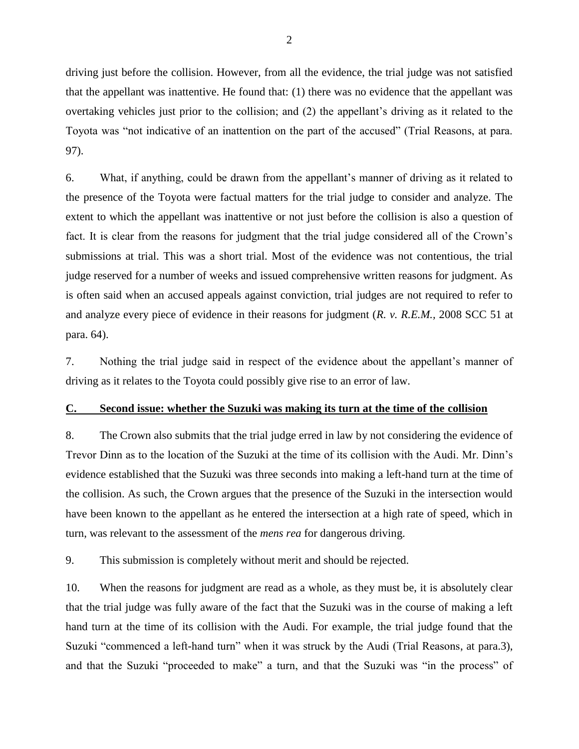driving just before the collision. However, from all the evidence, the trial judge was not satisfied that the appellant was inattentive. He found that: (1) there was no evidence that the appellant was overtaking vehicles just prior to the collision; and (2) the appellant"s driving as it related to the Toyota was "not indicative of an inattention on the part of the accused" (Trial Reasons, at para. 97).

6. What, if anything, could be drawn from the appellant"s manner of driving as it related to the presence of the Toyota were factual matters for the trial judge to consider and analyze. The extent to which the appellant was inattentive or not just before the collision is also a question of fact. It is clear from the reasons for judgment that the trial judge considered all of the Crown's submissions at trial. This was a short trial. Most of the evidence was not contentious, the trial judge reserved for a number of weeks and issued comprehensive written reasons for judgment. As is often said when an accused appeals against conviction, trial judges are not required to refer to and analyze every piece of evidence in their reasons for judgment (*R. v. R.E.M.,* 2008 SCC 51 at para. 64).

7. Nothing the trial judge said in respect of the evidence about the appellant"s manner of driving as it relates to the Toyota could possibly give rise to an error of law.

# **C. Second issue: whether the Suzuki was making its turn at the time of the collision**

8. The Crown also submits that the trial judge erred in law by not considering the evidence of Trevor Dinn as to the location of the Suzuki at the time of its collision with the Audi. Mr. Dinn"s evidence established that the Suzuki was three seconds into making a left-hand turn at the time of the collision. As such, the Crown argues that the presence of the Suzuki in the intersection would have been known to the appellant as he entered the intersection at a high rate of speed, which in turn, was relevant to the assessment of the *mens rea* for dangerous driving.

9. This submission is completely without merit and should be rejected.

10. When the reasons for judgment are read as a whole, as they must be, it is absolutely clear that the trial judge was fully aware of the fact that the Suzuki was in the course of making a left hand turn at the time of its collision with the Audi. For example, the trial judge found that the Suzuki "commenced a left-hand turn" when it was struck by the Audi (Trial Reasons, at para.3), and that the Suzuki "proceeded to make" a turn, and that the Suzuki was "in the process" of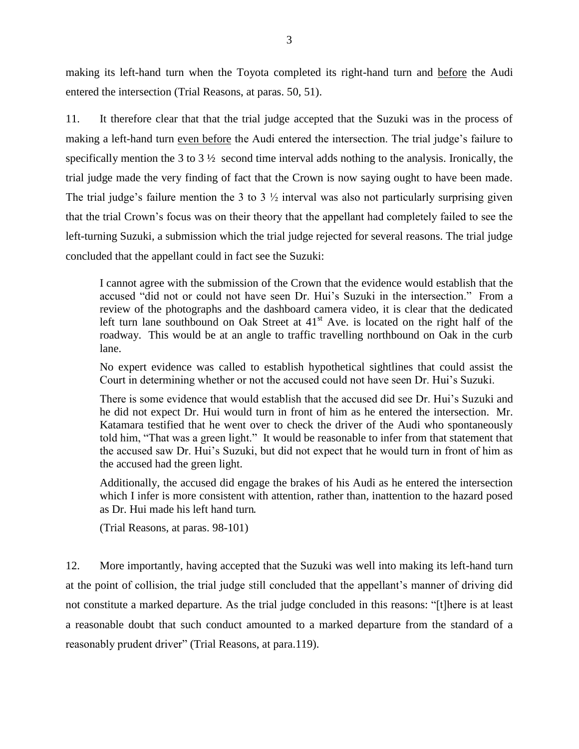making its left-hand turn when the Toyota completed its right-hand turn and before the Audi entered the intersection (Trial Reasons, at paras. 50, 51).

11. It therefore clear that that the trial judge accepted that the Suzuki was in the process of making a left-hand turn even before the Audi entered the intersection. The trial judge's failure to specifically mention the 3 to 3 ½ second time interval adds nothing to the analysis. Ironically, the trial judge made the very finding of fact that the Crown is now saying ought to have been made. The trial judge's failure mention the 3 to 3  $\frac{1}{2}$  interval was also not particularly surprising given that the trial Crown"s focus was on their theory that the appellant had completely failed to see the left-turning Suzuki, a submission which the trial judge rejected for several reasons. The trial judge concluded that the appellant could in fact see the Suzuki:

I cannot agree with the submission of the Crown that the evidence would establish that the accused "did not or could not have seen Dr. Hui"s Suzuki in the intersection." From a review of the photographs and the dashboard camera video, it is clear that the dedicated left turn lane southbound on Oak Street at  $41<sup>st</sup>$  Ave. is located on the right half of the roadway. This would be at an angle to traffic travelling northbound on Oak in the curb lane.

No expert evidence was called to establish hypothetical sightlines that could assist the Court in determining whether or not the accused could not have seen Dr. Hui"s Suzuki.

There is some evidence that would establish that the accused did see Dr. Hui"s Suzuki and he did not expect Dr. Hui would turn in front of him as he entered the intersection. Mr. Katamara testified that he went over to check the driver of the Audi who spontaneously told him, "That was a green light." It would be reasonable to infer from that statement that the accused saw Dr. Hui"s Suzuki, but did not expect that he would turn in front of him as the accused had the green light.

Additionally, the accused did engage the brakes of his Audi as he entered the intersection which I infer is more consistent with attention, rather than, inattention to the hazard posed as Dr. Hui made his left hand turn.

(Trial Reasons, at paras. 98-101)

12. More importantly, having accepted that the Suzuki was well into making its left-hand turn at the point of collision, the trial judge still concluded that the appellant"s manner of driving did not constitute a marked departure. As the trial judge concluded in this reasons: "[t]here is at least a reasonable doubt that such conduct amounted to a marked departure from the standard of a reasonably prudent driver" (Trial Reasons, at para.119).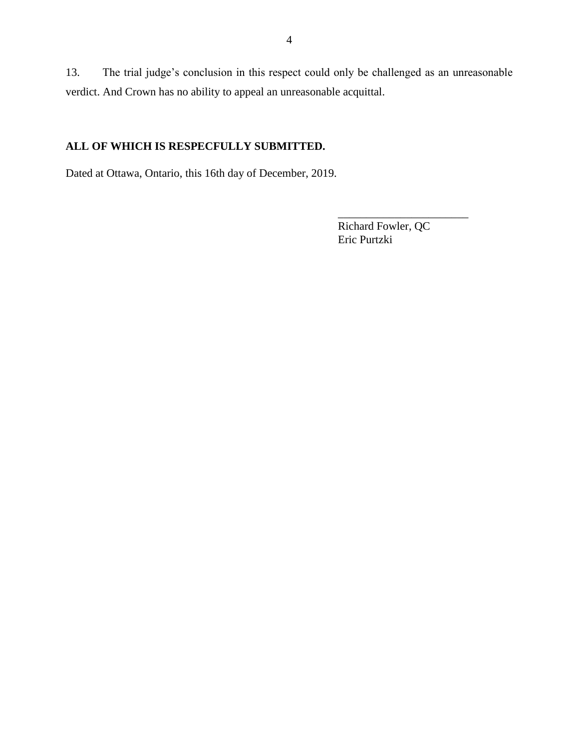13. The trial judge"s conclusion in this respect could only be challenged as an unreasonable verdict. And Crown has no ability to appeal an unreasonable acquittal.

# **ALL OF WHICH IS RESPECFULLY SUBMITTED.**

Dated at Ottawa, Ontario, this 16th day of December, 2019.

Richard Fowler, QC Eric Purtzki

\_\_\_\_\_\_\_\_\_\_\_\_\_\_\_\_\_\_\_\_\_\_\_